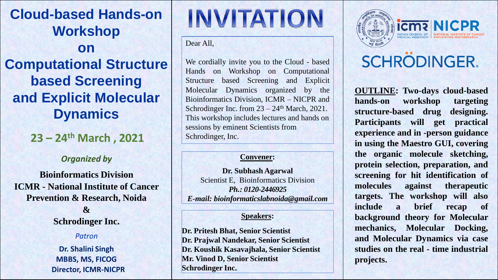**Cloud-based Hands-on Workshop on Computational Structure based Screening and Explicit Molecular Dynamics**

**23 – 24th March , 2021**

#### *Organized by*

**Bioinformatics Division ICMR - National Institute of Cancer Prevention & Research, Noida**

> **& Schrodinger Inc.**

#### *Patron*

**Dr. Shalini Singh MBBS, MS, FICOG Director, ICMR-NICPR**

# **INVITATION**

Dear All,

We cordially invite you to the Cloud - based Hands on Workshop on Computational Structure based Screening and Explicit Molecular Dynamics organized by the Bioinformatics Division, ICMR – NICPR and Schrodinger Inc. from  $23 - 24$ <sup>th</sup> March, 2021. This workshop includes lectures and hands on sessions by eminent Scientists from Schrodinger, Inc.

#### **Convener:**

**Dr. Subhash Agarwal** Scientist E, Bioinformatics Division *Ph.: 0120-2446925 E-mail: bioinformaticslabnoida@gmail.com*

#### **Speakers:**

**Dr. Pritesh Bhat, Senior Scientist Dr. Prajwal Nandekar, Senior Scientist Dr. Koushik Kasavajhala, Senior Scientist Mr. Vinod D, Senior Scientist Schrodinger Inc.**



## **icma** NICPR

## **SCHRODINGER.**

**OUTLINE: Two-days cloud-based hands-on workshop targeting structure-based drug designing. Participants will get practical experience and in -person guidance in using the Maestro GUI, covering the organic molecule sketching, protein selection, preparation, and screening for hit identification of molecules against therapeutic targets. The workshop will also include a brief recap of background theory for Molecular mechanics, Molecular Docking, and Molecular Dynamics via case studies on the real - time industrial projects.**